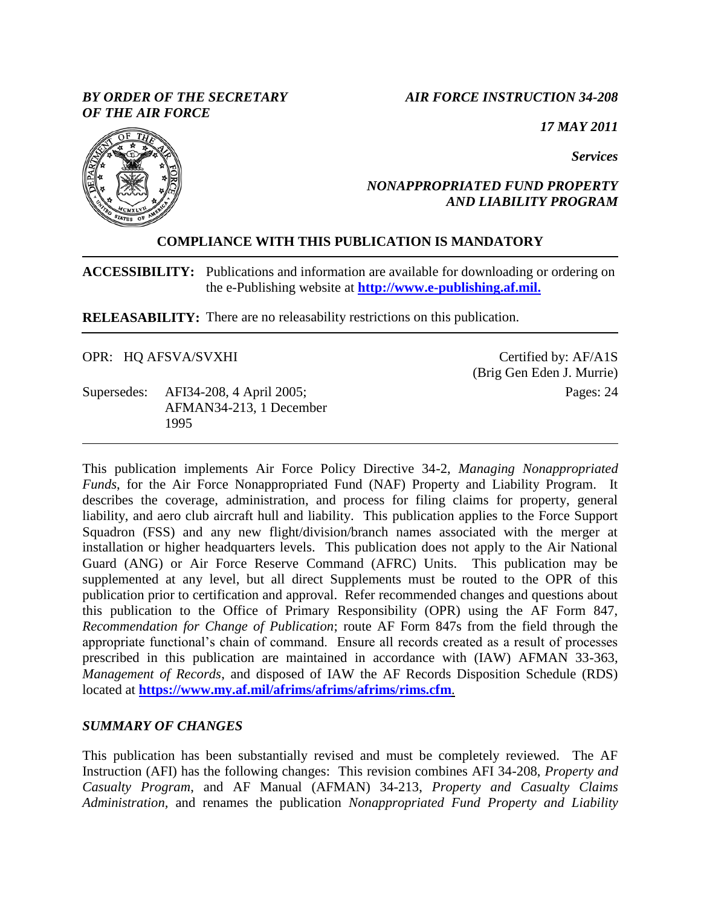## *BY ORDER OF THE SECRETARY OF THE AIR FORCE*

## *AIR FORCE INSTRUCTION 34-208*

*17 MAY 2011*

*Services*



## *NONAPPROPRIATED FUND PROPERTY AND LIABILITY PROGRAM*

# **COMPLIANCE WITH THIS PUBLICATION IS MANDATORY**

**ACCESSIBILITY:** Publications and information are available for downloading or ordering on the e-Publishing website at **[http://www.e-publishing.af.mil.](http://www.e-publishing.af.mil./)**

**RELEASABILITY:** There are no releasability restrictions on this publication.

OPR: HQ AFSVA/SVXHI

Supersedes: AFI34-208, 4 April 2005; AFMAN34-213, 1 December 1995

Certified by: AF/A1S (Brig Gen Eden J. Murrie) Pages: 24

This publication implements Air Force Policy Directive 34-2, *Managing Nonappropriated Funds*, for the Air Force Nonappropriated Fund (NAF) Property and Liability Program. It describes the coverage, administration, and process for filing claims for property, general liability, and aero club aircraft hull and liability. This publication applies to the Force Support Squadron (FSS) and any new flight/division/branch names associated with the merger at installation or higher headquarters levels. This publication does not apply to the Air National Guard (ANG) or Air Force Reserve Command (AFRC) Units. This publication may be supplemented at any level, but all direct Supplements must be routed to the OPR of this publication prior to certification and approval. Refer recommended changes and questions about this publication to the Office of Primary Responsibility (OPR) using the AF Form 847, *Recommendation for Change of Publication*; route AF Form 847s from the field through the appropriate functional's chain of command. Ensure all records created as a result of processes prescribed in this publication are maintained in accordance with (IAW) AFMAN 33-363, *Management of Records*, and disposed of IAW the AF Records Disposition Schedule (RDS) located at **<https://www.my.af.mil/afrims/afrims/afrims/rims.cfm>**.

## *SUMMARY OF CHANGES*

This publication has been substantially revised and must be completely reviewed. The AF Instruction (AFI) has the following changes: This revision combines AFI 34-208, *Property and Casualty Program*, and AF Manual (AFMAN) 34-213, *Property and Casualty Claims Administration,* and renames the publication *Nonappropriated Fund Property and Liability*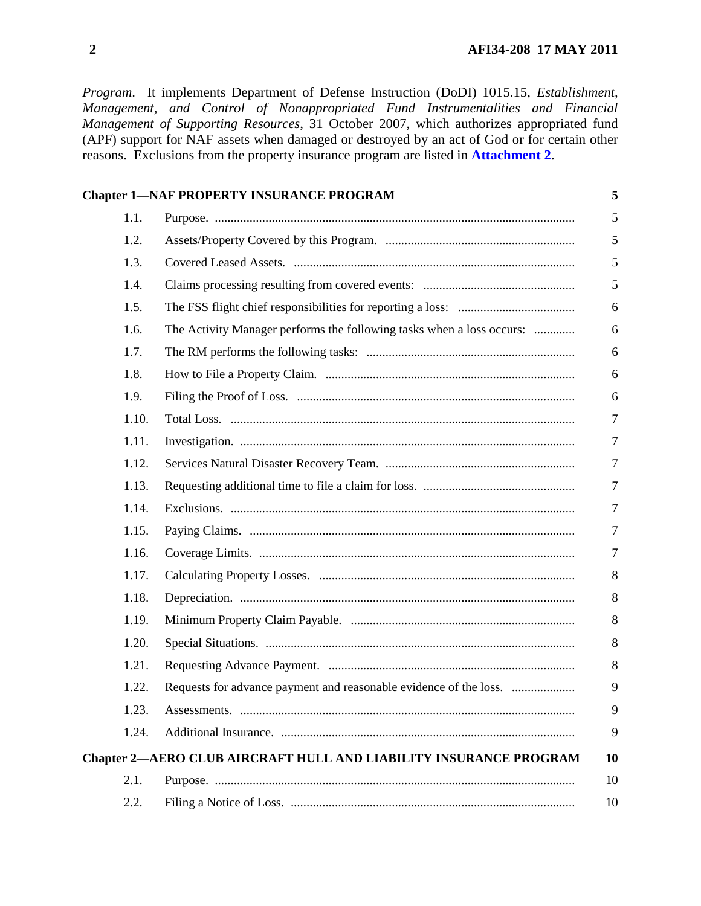*Program*. It implements Department of Defense Instruction (DoDI) 1015.15, *Establishment, Management, and Control of Nonappropriated Fund Instrumentalities and Financial Management of Supporting Resources*, 31 October 2007, which authorizes appropriated fund (APF) support for NAF assets when damaged or destroyed by an act of God or for certain other reasons. Exclusions from the property insurance program are listed in **[Attachment](#page-19-0) 2**.

|       | <b>Chapter 1-NAF PROPERTY INSURANCE PROGRAM</b>                          | 5              |
|-------|--------------------------------------------------------------------------|----------------|
| 1.1.  |                                                                          | 5              |
| 1.2.  |                                                                          | 5              |
| 1.3.  |                                                                          | 5              |
| 1.4.  |                                                                          | $\mathfrak{S}$ |
| 1.5.  |                                                                          | 6              |
| 1.6.  | The Activity Manager performs the following tasks when a loss occurs:    | 6              |
| 1.7.  |                                                                          | 6              |
| 1.8.  |                                                                          | 6              |
| 1.9.  |                                                                          | 6              |
| 1.10. |                                                                          | $\overline{7}$ |
| 1.11. |                                                                          | $\overline{7}$ |
| 1.12. |                                                                          | $\overline{7}$ |
| 1.13. |                                                                          | 7              |
| 1.14. |                                                                          | $\overline{7}$ |
| 1.15. |                                                                          | $\overline{7}$ |
| 1.16. |                                                                          | 7              |
| 1.17. |                                                                          | 8              |
| 1.18. |                                                                          | $8\,$          |
| 1.19. |                                                                          | 8              |
| 1.20. |                                                                          | 8              |
| 1.21. |                                                                          | 8              |
| 1.22. | Requests for advance payment and reasonable evidence of the loss.        | 9              |
| 1.23. |                                                                          | 9              |
| 1.24. |                                                                          | 9              |
|       | <b>Chapter 2—AERO CLUB AIRCRAFT HULL AND LIABILITY INSURANCE PROGRAM</b> | 10             |
| 2.1.  |                                                                          | 10             |
| 2.2.  |                                                                          | 10             |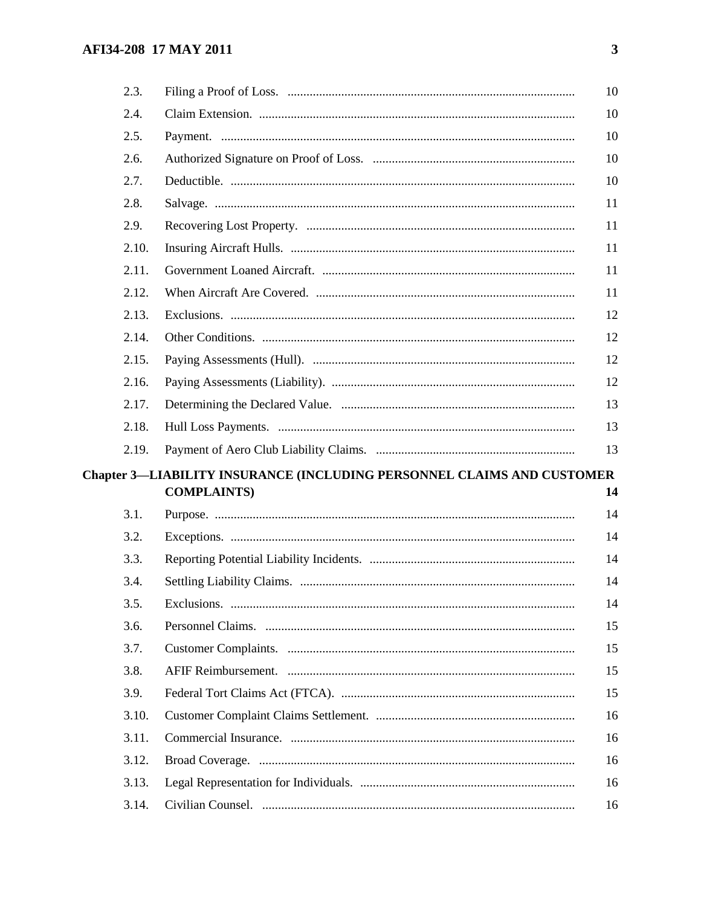| 2.3.  |                                                                        | 10 |
|-------|------------------------------------------------------------------------|----|
| 2.4.  |                                                                        | 10 |
| 2.5.  |                                                                        | 10 |
| 2.6.  |                                                                        | 10 |
| 2.7.  |                                                                        | 10 |
| 2.8.  |                                                                        | 11 |
| 2.9.  |                                                                        | 11 |
| 2.10. |                                                                        | 11 |
| 2.11. |                                                                        | 11 |
| 2.12. |                                                                        | 11 |
| 2.13. |                                                                        | 12 |
| 2.14. |                                                                        | 12 |
| 2.15. |                                                                        | 12 |
| 2.16. |                                                                        | 12 |
| 2.17. |                                                                        | 13 |
| 2.18. |                                                                        | 13 |
| 2.19. |                                                                        | 13 |
|       |                                                                        |    |
|       | Chapter 3-LIABILITY INSURANCE (INCLUDING PERSONNEL CLAIMS AND CUSTOMER |    |
|       | <b>COMPLAINTS)</b>                                                     | 14 |
| 3.1.  |                                                                        | 14 |
| 3.2.  |                                                                        | 14 |
| 3.3.  |                                                                        | 14 |
| 3.4.  |                                                                        | 14 |
| 3.5.  |                                                                        | 14 |
| 3.6.  |                                                                        | 15 |
| 3.7.  |                                                                        | 15 |
| 3.8.  |                                                                        | 15 |
| 3.9.  |                                                                        | 15 |
| 3.10. |                                                                        | 16 |
| 3.11. |                                                                        | 16 |
| 3.12. |                                                                        | 16 |
| 3.13. |                                                                        | 16 |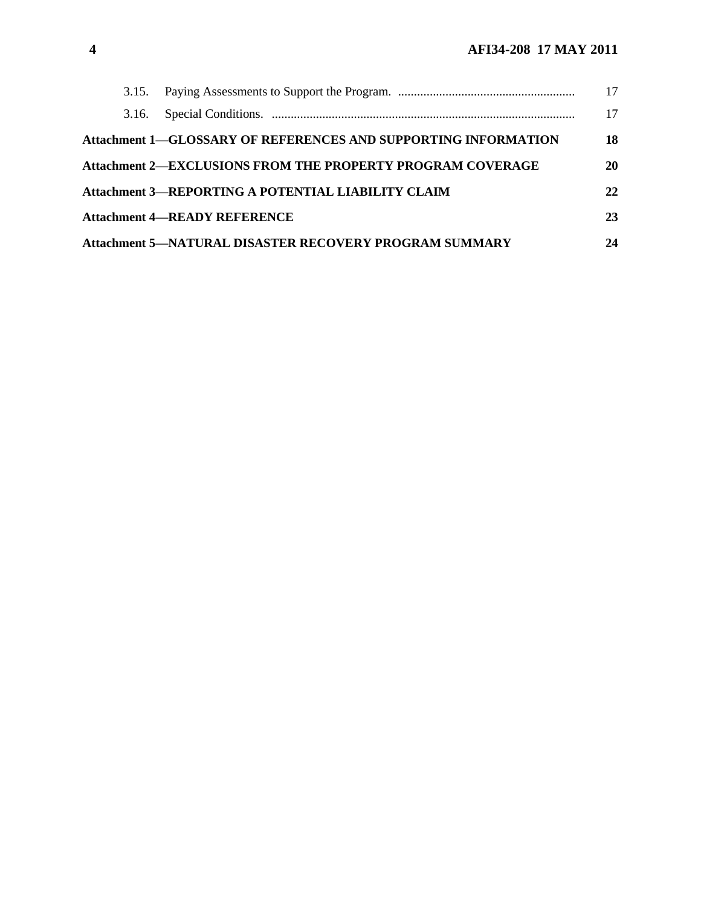|       |                                                                       | 17 |
|-------|-----------------------------------------------------------------------|----|
| 3.16. |                                                                       | 17 |
|       | <b>Attachment 1–GLOSSARY OF REFERENCES AND SUPPORTING INFORMATION</b> | 18 |
|       | <b>Attachment 2-EXCLUSIONS FROM THE PROPERTY PROGRAM COVERAGE</b>     | 20 |
|       | Attachment 3-REPORTING A POTENTIAL LIABILITY CLAIM                    | 22 |
|       | <b>Attachment 4—READY REFERENCE</b>                                   | 23 |
|       | <b>Attachment 5-NATURAL DISASTER RECOVERY PROGRAM SUMMARY</b>         | 24 |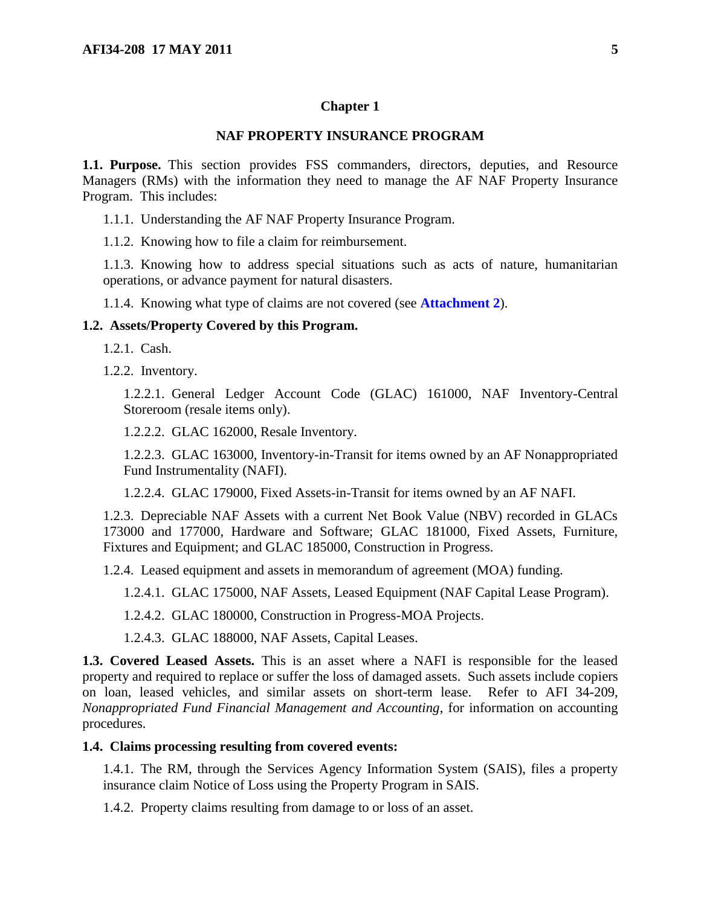#### <span id="page-4-0"></span>**Chapter 1**

#### **NAF PROPERTY INSURANCE PROGRAM**

<span id="page-4-1"></span>**1.1. Purpose.** This section provides FSS commanders, directors, deputies, and Resource Managers (RMs) with the information they need to manage the AF NAF Property Insurance Program. This includes:

1.1.1. Understanding the AF NAF Property Insurance Program.

1.1.2. Knowing how to file a claim for reimbursement.

1.1.3. Knowing how to address special situations such as acts of nature, humanitarian operations, or advance payment for natural disasters.

1.1.4. Knowing what type of claims are not covered (see **[Attachment](#page-19-0) 2**).

#### <span id="page-4-2"></span>**1.2. Assets/Property Covered by this Program.**

1.2.1. Cash.

1.2.2. Inventory.

1.2.2.1. General Ledger Account Code (GLAC) 161000, NAF Inventory-Central Storeroom (resale items only).

1.2.2.2. GLAC 162000, Resale Inventory.

1.2.2.3. GLAC 163000, Inventory-in-Transit for items owned by an AF Nonappropriated Fund Instrumentality (NAFI).

1.2.2.4. GLAC 179000, Fixed Assets-in-Transit for items owned by an AF NAFI.

1.2.3. Depreciable NAF Assets with a current Net Book Value (NBV) recorded in GLACs 173000 and 177000, Hardware and Software; GLAC 181000, Fixed Assets, Furniture, Fixtures and Equipment; and GLAC 185000, Construction in Progress.

1.2.4. Leased equipment and assets in memorandum of agreement (MOA) funding.

1.2.4.1. GLAC 175000, NAF Assets, Leased Equipment (NAF Capital Lease Program).

1.2.4.2. GLAC 180000, Construction in Progress-MOA Projects.

1.2.4.3. GLAC 188000, NAF Assets, Capital Leases.

<span id="page-4-3"></span>**1.3. Covered Leased Assets.** This is an asset where a NAFI is responsible for the leased property and required to replace or suffer the loss of damaged assets. Such assets include copiers on loan, leased vehicles, and similar assets on short-term lease. Refer to AFI 34-209, *Nonappropriated Fund Financial Management and Accounting*, for information on accounting procedures.

#### <span id="page-4-4"></span>**1.4. Claims processing resulting from covered events:**

1.4.1. The RM, through the Services Agency Information System (SAIS), files a property insurance claim Notice of Loss using the Property Program in SAIS.

1.4.2. Property claims resulting from damage to or loss of an asset.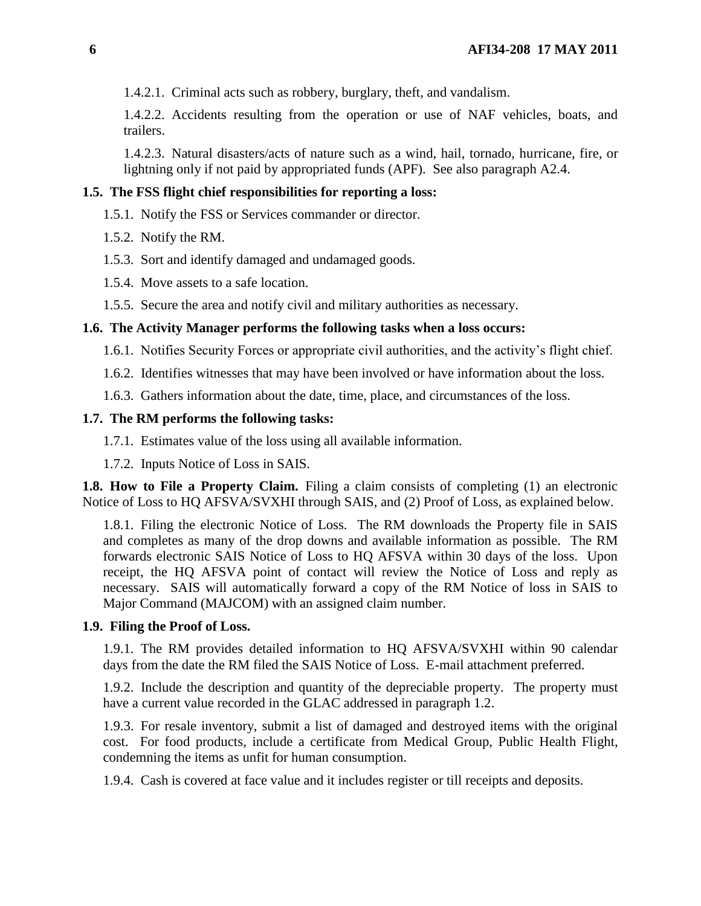1.4.2.1. Criminal acts such as robbery, burglary, theft, and vandalism.

1.4.2.2. Accidents resulting from the operation or use of NAF vehicles, boats, and trailers.

1.4.2.3. Natural disasters/acts of nature such as a wind, hail, tornado, hurricane, fire, or lightning only if not paid by appropriated funds (APF). See also paragraph A2.4.

#### <span id="page-5-0"></span>**1.5. The FSS flight chief responsibilities for reporting a loss:**

- 1.5.1. Notify the FSS or Services commander or director.
- 1.5.2. Notify the RM.
- 1.5.3. Sort and identify damaged and undamaged goods.
- 1.5.4. Move assets to a safe location.
- 1.5.5. Secure the area and notify civil and military authorities as necessary.

#### <span id="page-5-1"></span>**1.6. The Activity Manager performs the following tasks when a loss occurs:**

- 1.6.1. Notifies Security Forces or appropriate civil authorities, and the activity's flight chief.
- 1.6.2. Identifies witnesses that may have been involved or have information about the loss.
- 1.6.3. Gathers information about the date, time, place, and circumstances of the loss.

#### <span id="page-5-2"></span>**1.7. The RM performs the following tasks:**

1.7.1. Estimates value of the loss using all available information.

1.7.2. Inputs Notice of Loss in SAIS.

<span id="page-5-3"></span>**1.8. How to File a Property Claim.** Filing a claim consists of completing (1) an electronic Notice of Loss to HQ AFSVA/SVXHI through SAIS, and (2) Proof of Loss, as explained below*.*

1.8.1. Filing the electronic Notice of Loss. The RM downloads the Property file in SAIS and completes as many of the drop downs and available information as possible. The RM forwards electronic SAIS Notice of Loss to HQ AFSVA within 30 days of the loss. Upon receipt, the HQ AFSVA point of contact will review the Notice of Loss and reply as necessary. SAIS will automatically forward a copy of the RM Notice of loss in SAIS to Major Command (MAJCOM) with an assigned claim number.

#### <span id="page-5-4"></span>**1.9. Filing the Proof of Loss.**

1.9.1. The RM provides detailed information to HQ AFSVA/SVXHI within 90 calendar days from the date the RM filed the SAIS Notice of Loss. E-mail attachment preferred.

1.9.2. Include the description and quantity of the depreciable property. The property must have a current value recorded in the GLAC addressed in paragraph 1.2.

1.9.3. For resale inventory, submit a list of damaged and destroyed items with the original cost. For food products, include a certificate from Medical Group, Public Health Flight, condemning the items as unfit for human consumption.

1.9.4. Cash is covered at face value and it includes register or till receipts and deposits.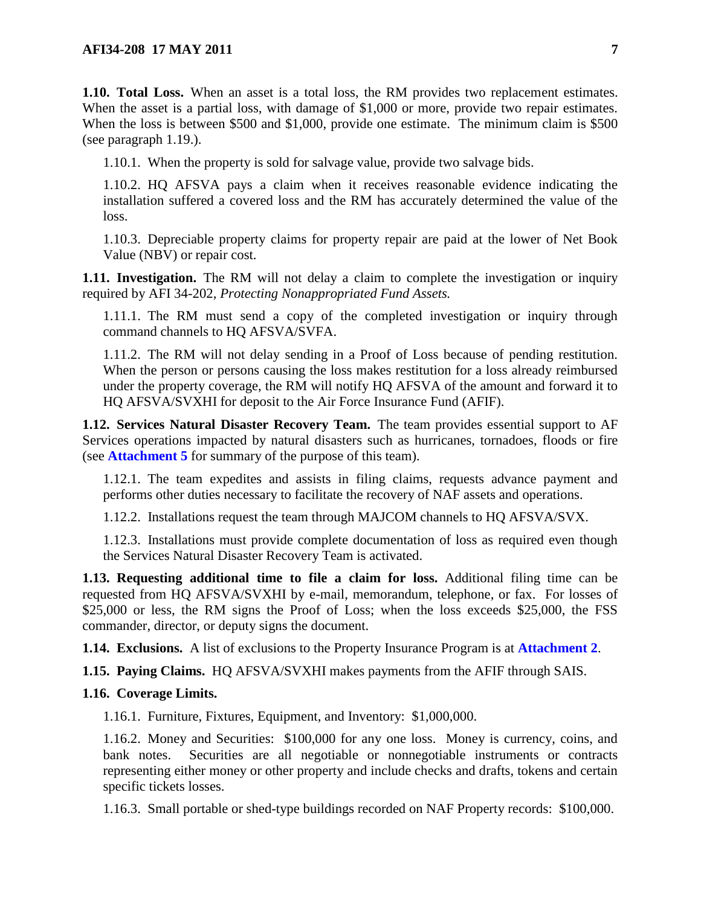<span id="page-6-0"></span>**1.10. Total Loss.** When an asset is a total loss, the RM provides two replacement estimates. When the asset is a partial loss, with damage of \$1,000 or more, provide two repair estimates. When the loss is between \$500 and \$1,000, provide one estimate. The minimum claim is \$500 (see paragraph 1.19.).

1.10.1. When the property is sold for salvage value, provide two salvage bids.

1.10.2. HQ AFSVA pays a claim when it receives reasonable evidence indicating the installation suffered a covered loss and the RM has accurately determined the value of the loss.

1.10.3. Depreciable property claims for property repair are paid at the lower of Net Book Value (NBV) or repair cost.

<span id="page-6-1"></span>**1.11. Investigation.** The RM will not delay a claim to complete the investigation or inquiry required by AFI 34-202, *Protecting Nonappropriated Fund Assets.*

1.11.1. The RM must send a copy of the completed investigation or inquiry through command channels to HQ AFSVA/SVFA.

1.11.2. The RM will not delay sending in a Proof of Loss because of pending restitution. When the person or persons causing the loss makes restitution for a loss already reimbursed under the property coverage, the RM will notify HQ AFSVA of the amount and forward it to HQ AFSVA/SVXHI for deposit to the Air Force Insurance Fund (AFIF).

<span id="page-6-2"></span>**1.12. Services Natural Disaster Recovery Team.** The team provides essential support to AF Services operations impacted by natural disasters such as hurricanes, tornadoes, floods or fire (see **[Attachment](#page-23-0) 5** for summary of the purpose of this team).

1.12.1. The team expedites and assists in filing claims, requests advance payment and performs other duties necessary to facilitate the recovery of NAF assets and operations.

1.12.2. Installations request the team through MAJCOM channels to HQ AFSVA/SVX.

1.12.3. Installations must provide complete documentation of loss as required even though the Services Natural Disaster Recovery Team is activated.

<span id="page-6-3"></span>**1.13. Requesting additional time to file a claim for loss.** Additional filing time can be requested from HQ AFSVA/SVXHI by e-mail, memorandum, telephone, or fax. For losses of \$25,000 or less, the RM signs the Proof of Loss; when the loss exceeds \$25,000, the FSS commander, director, or deputy signs the document.

<span id="page-6-4"></span>**1.14. Exclusions.** A list of exclusions to the Property Insurance Program is at **[Attachment](#page-19-0) 2**.

<span id="page-6-5"></span>**1.15. Paying Claims.** HQ AFSVA/SVXHI makes payments from the AFIF through SAIS.

#### <span id="page-6-6"></span>**1.16. Coverage Limits.**

1.16.1. Furniture, Fixtures, Equipment, and Inventory: \$1,000,000.

1.16.2. Money and Securities: \$100,000 for any one loss. Money is currency, coins, and bank notes. Securities are all negotiable or nonnegotiable instruments or contracts representing either money or other property and include checks and drafts, tokens and certain specific tickets losses.

1.16.3. Small portable or shed-type buildings recorded on NAF Property records: \$100,000.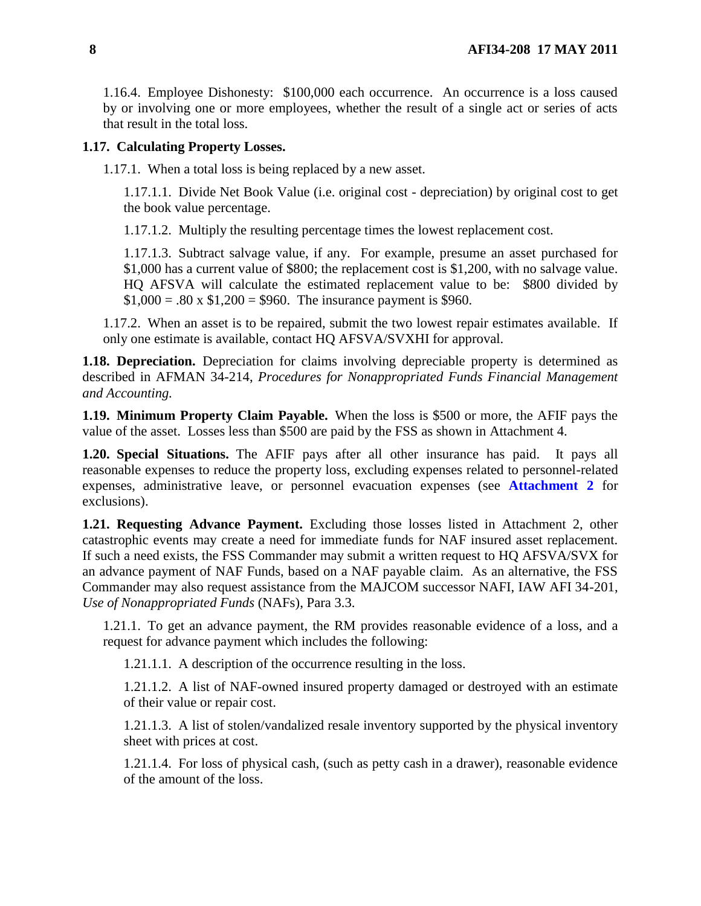1.16.4. Employee Dishonesty: \$100,000 each occurrence. An occurrence is a loss caused by or involving one or more employees, whether the result of a single act or series of acts that result in the total loss.

### <span id="page-7-0"></span>**1.17. Calculating Property Losses.**

1.17.1. When a total loss is being replaced by a new asset.

1.17.1.1. Divide Net Book Value (i.e. original cost - depreciation) by original cost to get the book value percentage.

1.17.1.2. Multiply the resulting percentage times the lowest replacement cost.

1.17.1.3. Subtract salvage value, if any. For example, presume an asset purchased for \$1,000 has a current value of \$800; the replacement cost is \$1,200, with no salvage value. HQ AFSVA will calculate the estimated replacement value to be: \$800 divided by  $$1,000 = .80 \times $1,200 = $960$ . The insurance payment is \$960.

1.17.2. When an asset is to be repaired, submit the two lowest repair estimates available. If only one estimate is available, contact HQ AFSVA/SVXHI for approval.

<span id="page-7-1"></span>**1.18. Depreciation.** Depreciation for claims involving depreciable property is determined as described in AFMAN 34-214, *Procedures for Nonappropriated Funds Financial Management and Accounting.*

<span id="page-7-2"></span>**1.19. Minimum Property Claim Payable.** When the loss is \$500 or more, the AFIF pays the value of the asset. Losses less than \$500 are paid by the FSS as shown in Attachment 4.

<span id="page-7-3"></span>**1.20. Special Situations.** The AFIF pays after all other insurance has paid. It pays all reasonable expenses to reduce the property loss, excluding expenses related to personnel-related expenses, administrative leave, or personnel evacuation expenses (see **[Attachment](#page-19-0) 2** for exclusions).

<span id="page-7-4"></span>**1.21. Requesting Advance Payment.** Excluding those losses listed in Attachment 2, other catastrophic events may create a need for immediate funds for NAF insured asset replacement. If such a need exists, the FSS Commander may submit a written request to HQ AFSVA/SVX for an advance payment of NAF Funds, based on a NAF payable claim. As an alternative, the FSS Commander may also request assistance from the MAJCOM successor NAFI, IAW AFI 34-201, *Use of Nonappropriated Funds* (NAFs), Para 3.3.

1.21.1. To get an advance payment, the RM provides reasonable evidence of a loss, and a request for advance payment which includes the following:

1.21.1.1. A description of the occurrence resulting in the loss.

1.21.1.2. A list of NAF-owned insured property damaged or destroyed with an estimate of their value or repair cost.

1.21.1.3. A list of stolen/vandalized resale inventory supported by the physical inventory sheet with prices at cost.

1.21.1.4. For loss of physical cash, (such as petty cash in a drawer), reasonable evidence of the amount of the loss.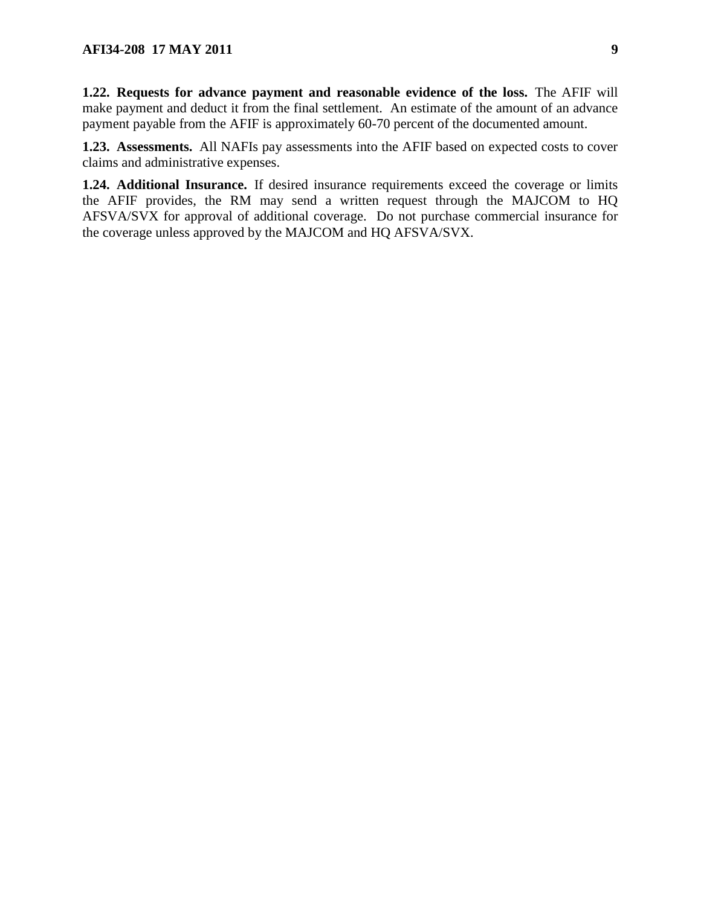<span id="page-8-0"></span>**1.22. Requests for advance payment and reasonable evidence of the loss.** The AFIF will make payment and deduct it from the final settlement. An estimate of the amount of an advance payment payable from the AFIF is approximately 60-70 percent of the documented amount.

<span id="page-8-1"></span>**1.23. Assessments.** All NAFIs pay assessments into the AFIF based on expected costs to cover claims and administrative expenses.

<span id="page-8-2"></span>**1.24. Additional Insurance.** If desired insurance requirements exceed the coverage or limits the AFIF provides, the RM may send a written request through the MAJCOM to HQ AFSVA/SVX for approval of additional coverage. Do not purchase commercial insurance for the coverage unless approved by the MAJCOM and HQ AFSVA/SVX.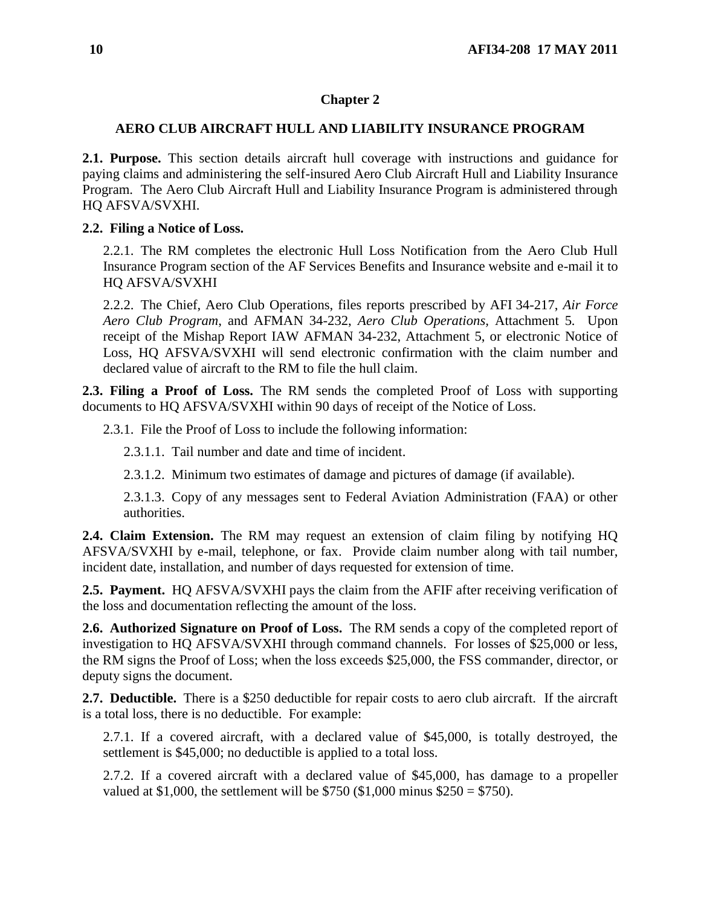### <span id="page-9-0"></span>**Chapter 2**

### **AERO CLUB AIRCRAFT HULL AND LIABILITY INSURANCE PROGRAM**

<span id="page-9-1"></span>**2.1. Purpose.** This section details aircraft hull coverage with instructions and guidance for paying claims and administering the self-insured Aero Club Aircraft Hull and Liability Insurance Program. The Aero Club Aircraft Hull and Liability Insurance Program is administered through HQ AFSVA/SVXHI.

### <span id="page-9-2"></span>**2.2. Filing a Notice of Loss.**

2.2.1. The RM completes the electronic Hull Loss Notification from the Aero Club Hull Insurance Program section of the AF Services Benefits and Insurance website and e-mail it to HQ AFSVA/SVXHI

2.2.2. The Chief, Aero Club Operations, files reports prescribed by AFI 34-217, *Air Force Aero Club Program*, and AFMAN 34-232, *Aero Club Operations,* Attachment 5*.* Upon receipt of the Mishap Report IAW AFMAN 34-232, Attachment 5, or electronic Notice of Loss, HQ AFSVA/SVXHI will send electronic confirmation with the claim number and declared value of aircraft to the RM to file the hull claim.

<span id="page-9-3"></span>**2.3. Filing a Proof of Loss.** The RM sends the completed Proof of Loss with supporting documents to HQ AFSVA/SVXHI within 90 days of receipt of the Notice of Loss.

2.3.1. File the Proof of Loss to include the following information:

2.3.1.1. Tail number and date and time of incident.

2.3.1.2. Minimum two estimates of damage and pictures of damage (if available).

2.3.1.3. Copy of any messages sent to Federal Aviation Administration (FAA) or other authorities.

<span id="page-9-4"></span>**2.4. Claim Extension.** The RM may request an extension of claim filing by notifying HQ AFSVA/SVXHI by e-mail, telephone, or fax. Provide claim number along with tail number, incident date, installation, and number of days requested for extension of time.

<span id="page-9-5"></span>**2.5. Payment.** HQ AFSVA/SVXHI pays the claim from the AFIF after receiving verification of the loss and documentation reflecting the amount of the loss.

<span id="page-9-6"></span>**2.6. Authorized Signature on Proof of Loss.** The RM sends a copy of the completed report of investigation to HQ AFSVA/SVXHI through command channels. For losses of \$25,000 or less, the RM signs the Proof of Loss; when the loss exceeds \$25,000, the FSS commander, director, or deputy signs the document.

<span id="page-9-7"></span>**2.7. Deductible.** There is a \$250 deductible for repair costs to aero club aircraft. If the aircraft is a total loss, there is no deductible. For example:

2.7.1. If a covered aircraft, with a declared value of \$45,000, is totally destroyed, the settlement is \$45,000; no deductible is applied to a total loss.

2.7.2. If a covered aircraft with a declared value of \$45,000, has damage to a propeller valued at \$1,000, the settlement will be \$750 (\$1,000 minus  $$250 = $750$ ).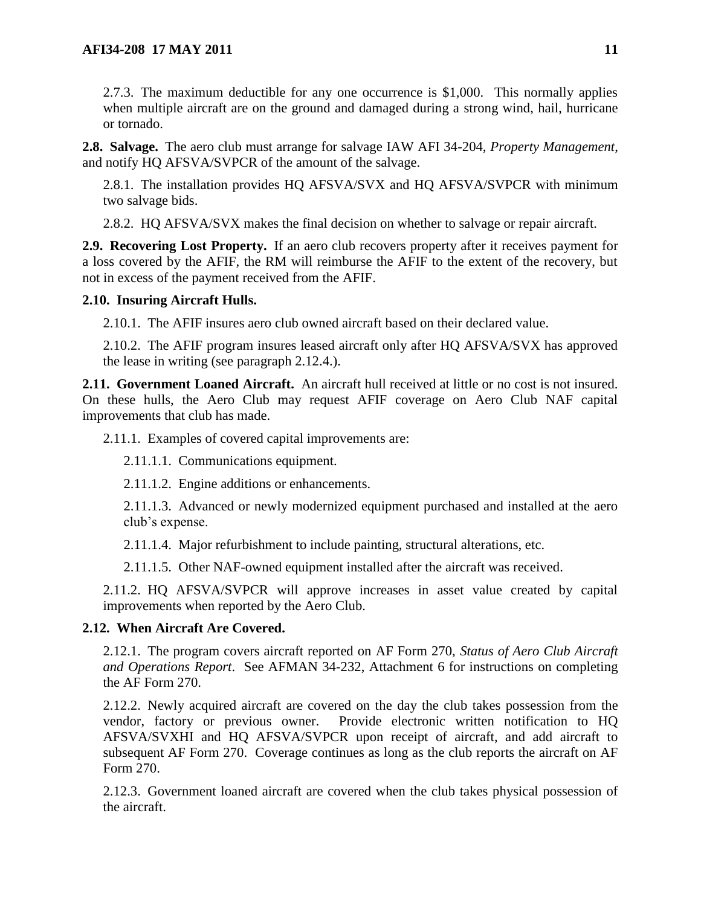2.7.3. The maximum deductible for any one occurrence is \$1,000. This normally applies when multiple aircraft are on the ground and damaged during a strong wind, hail, hurricane or tornado.

<span id="page-10-0"></span>**2.8. Salvage.** The aero club must arrange for salvage IAW AFI 34-204, *Property Management*, and notify HQ AFSVA/SVPCR of the amount of the salvage.

2.8.1. The installation provides HQ AFSVA/SVX and HQ AFSVA/SVPCR with minimum two salvage bids.

2.8.2. HQ AFSVA/SVX makes the final decision on whether to salvage or repair aircraft.

<span id="page-10-1"></span>**2.9. Recovering Lost Property.** If an aero club recovers property after it receives payment for a loss covered by the AFIF, the RM will reimburse the AFIF to the extent of the recovery, but not in excess of the payment received from the AFIF.

### <span id="page-10-2"></span>**2.10. Insuring Aircraft Hulls.**

2.10.1. The AFIF insures aero club owned aircraft based on their declared value.

2.10.2. The AFIF program insures leased aircraft only after HQ AFSVA/SVX has approved the lease in writing (see paragraph 2.12.4.).

<span id="page-10-3"></span>**2.11. Government Loaned Aircraft.** An aircraft hull received at little or no cost is not insured. On these hulls, the Aero Club may request AFIF coverage on Aero Club NAF capital improvements that club has made.

2.11.1. Examples of covered capital improvements are:

2.11.1.1. Communications equipment.

2.11.1.2. Engine additions or enhancements.

2.11.1.3. Advanced or newly modernized equipment purchased and installed at the aero club's expense.

2.11.1.4. Major refurbishment to include painting, structural alterations, etc.

2.11.1.5. Other NAF-owned equipment installed after the aircraft was received.

2.11.2. HQ AFSVA/SVPCR will approve increases in asset value created by capital improvements when reported by the Aero Club.

## <span id="page-10-4"></span>**2.12. When Aircraft Are Covered.**

2.12.1. The program covers aircraft reported on AF Form 270, *Status of Aero Club Aircraft and Operations Report*. See AFMAN 34-232, Attachment 6 for instructions on completing the AF Form 270.

2.12.2. Newly acquired aircraft are covered on the day the club takes possession from the vendor, factory or previous owner. Provide electronic written notification to HQ AFSVA/SVXHI and HQ AFSVA/SVPCR upon receipt of aircraft, and add aircraft to subsequent AF Form 270. Coverage continues as long as the club reports the aircraft on AF Form 270.

2.12.3. Government loaned aircraft are covered when the club takes physical possession of the aircraft.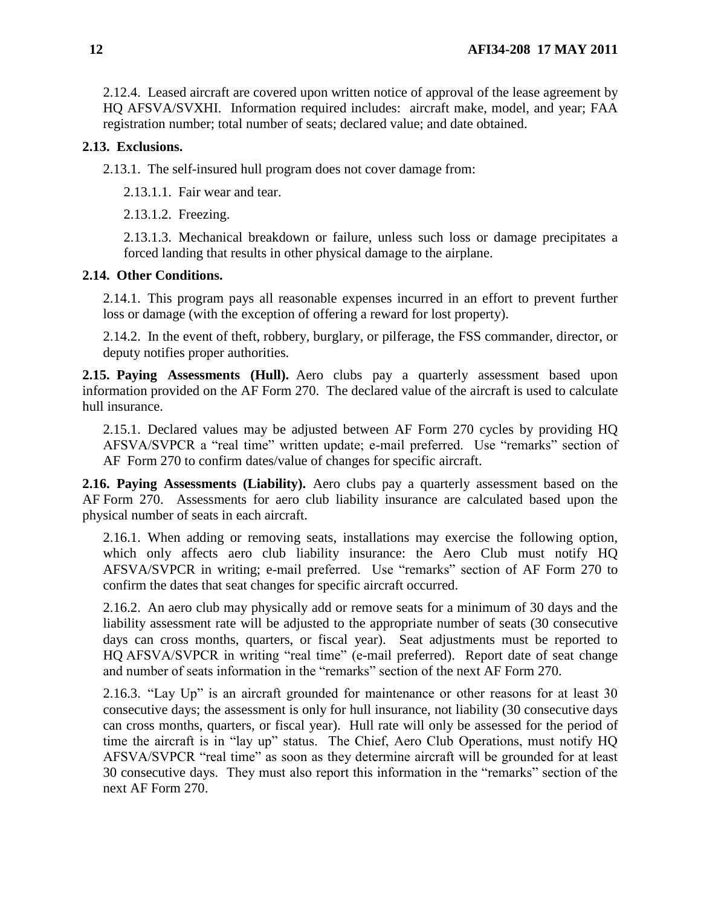2.12.4. Leased aircraft are covered upon written notice of approval of the lease agreement by HQ AFSVA/SVXHI. Information required includes: aircraft make, model, and year; FAA registration number; total number of seats; declared value; and date obtained.

### <span id="page-11-0"></span>**2.13. Exclusions.**

2.13.1. The self-insured hull program does not cover damage from:

2.13.1.1. Fair wear and tear.

2.13.1.2. Freezing.

2.13.1.3. Mechanical breakdown or failure, unless such loss or damage precipitates a forced landing that results in other physical damage to the airplane.

### <span id="page-11-1"></span>**2.14. Other Conditions.**

2.14.1. This program pays all reasonable expenses incurred in an effort to prevent further loss or damage (with the exception of offering a reward for lost property).

2.14.2. In the event of theft, robbery, burglary, or pilferage, the FSS commander, director, or deputy notifies proper authorities*.*

<span id="page-11-2"></span>**2.15. Paying Assessments (Hull).** Aero clubs pay a quarterly assessment based upon information provided on the AF Form 270. The declared value of the aircraft is used to calculate hull insurance.

2.15.1. Declared values may be adjusted between AF Form 270 cycles by providing HQ AFSVA/SVPCR a "real time" written update; e-mail preferred. Use "remarks" section of AF Form 270 to confirm dates/value of changes for specific aircraft.

<span id="page-11-3"></span>**2.16. Paying Assessments (Liability).** Aero clubs pay a quarterly assessment based on the AF Form 270. Assessments for aero club liability insurance are calculated based upon the physical number of seats in each aircraft.

2.16.1. When adding or removing seats, installations may exercise the following option, which only affects aero club liability insurance: the Aero Club must notify HQ AFSVA/SVPCR in writing; e-mail preferred. Use "remarks" section of AF Form 270 to confirm the dates that seat changes for specific aircraft occurred.

2.16.2. An aero club may physically add or remove seats for a minimum of 30 days and the liability assessment rate will be adjusted to the appropriate number of seats (30 consecutive days can cross months, quarters, or fiscal year). Seat adjustments must be reported to HO AFSVA/SVPCR in writing "real time" (e-mail preferred). Report date of seat change and number of seats information in the "remarks" section of the next AF Form 270.

2.16.3. "Lay Up" is an aircraft grounded for maintenance or other reasons for at least 30 consecutive days; the assessment is only for hull insurance, not liability (30 consecutive days can cross months, quarters, or fiscal year). Hull rate will only be assessed for the period of time the aircraft is in "lay up" status. The Chief, Aero Club Operations, must notify HQ AFSVA/SVPCR "real time" as soon as they determine aircraft will be grounded for at least 30 consecutive days. They must also report this information in the "remarks" section of the next AF Form 270.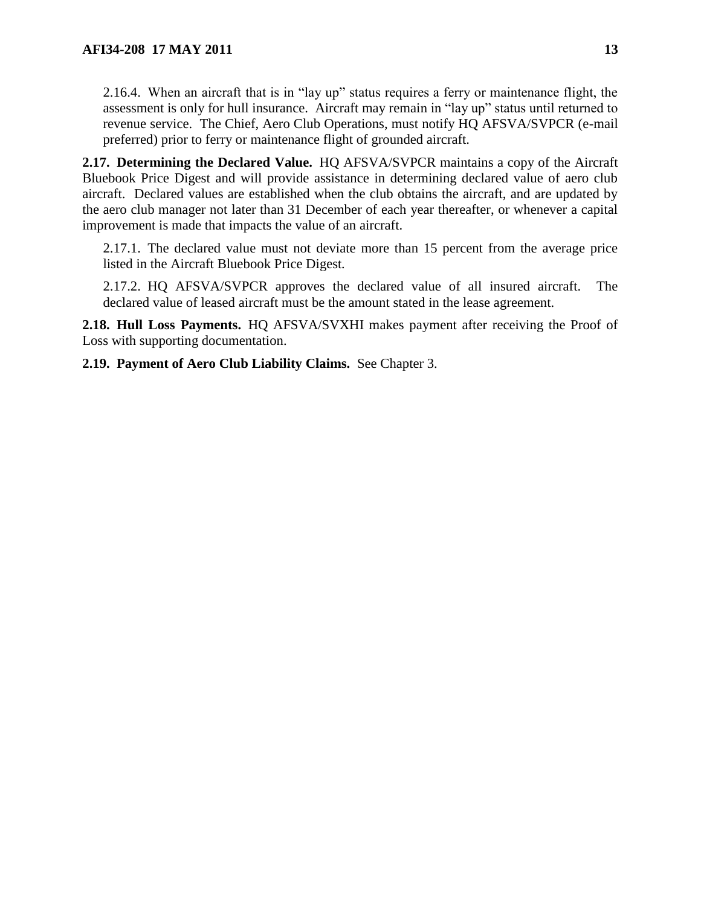2.16.4. When an aircraft that is in "lay up" status requires a ferry or maintenance flight, the assessment is only for hull insurance. Aircraft may remain in "lay up" status until returned to revenue service. The Chief, Aero Club Operations, must notify HQ AFSVA/SVPCR (e-mail preferred) prior to ferry or maintenance flight of grounded aircraft.

<span id="page-12-0"></span>**2.17. Determining the Declared Value.** HQ AFSVA/SVPCR maintains a copy of the Aircraft Bluebook Price Digest and will provide assistance in determining declared value of aero club aircraft. Declared values are established when the club obtains the aircraft, and are updated by the aero club manager not later than 31 December of each year thereafter, or whenever a capital improvement is made that impacts the value of an aircraft.

2.17.1. The declared value must not deviate more than 15 percent from the average price listed in the Aircraft Bluebook Price Digest*.*

2.17.2. HQ AFSVA/SVPCR approves the declared value of all insured aircraft. The declared value of leased aircraft must be the amount stated in the lease agreement.

<span id="page-12-1"></span>**2.18. Hull Loss Payments.** HQ AFSVA/SVXHI makes payment after receiving the Proof of Loss with supporting documentation.

<span id="page-12-2"></span>**2.19. Payment of Aero Club Liability Claims.** See Chapter 3.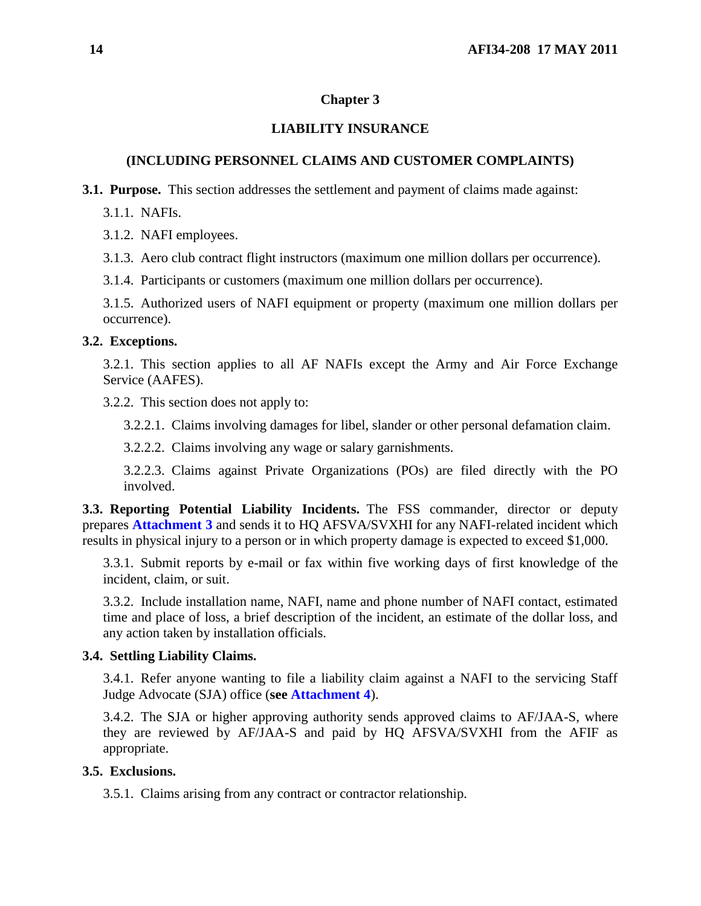### <span id="page-13-0"></span>**Chapter 3**

## **LIABILITY INSURANCE**

## **(INCLUDING PERSONNEL CLAIMS AND CUSTOMER COMPLAINTS)**

<span id="page-13-1"></span>**3.1. Purpose.** This section addresses the settlement and payment of claims made against:

3.1.1. NAFIs.

3.1.2. NAFI employees.

3.1.3. Aero club contract flight instructors (maximum one million dollars per occurrence).

3.1.4. Participants or customers (maximum one million dollars per occurrence).

3.1.5. Authorized users of NAFI equipment or property (maximum one million dollars per occurrence).

### <span id="page-13-2"></span>**3.2. Exceptions.**

3.2.1. This section applies to all AF NAFIs except the Army and Air Force Exchange Service (AAFES).

3.2.2. This section does not apply to:

3.2.2.1. Claims involving damages for libel, slander or other personal defamation claim.

3.2.2.2. Claims involving any wage or salary garnishments.

3.2.2.3. Claims against Private Organizations (POs) are filed directly with the PO involved.

<span id="page-13-3"></span>**3.3. Reporting Potential Liability Incidents.** The FSS commander, director or deputy prepares **[Attachment](#page-21-0) 3** and sends it to HQ AFSVA/SVXHI for any NAFI-related incident which results in physical injury to a person or in which property damage is expected to exceed \$1,000.

3.3.1. Submit reports by e-mail or fax within five working days of first knowledge of the incident, claim, or suit.

3.3.2. Include installation name, NAFI, name and phone number of NAFI contact, estimated time and place of loss, a brief description of the incident, an estimate of the dollar loss, and any action taken by installation officials.

## <span id="page-13-4"></span>**3.4. Settling Liability Claims.**

3.4.1. Refer anyone wanting to file a liability claim against a NAFI to the servicing Staff Judge Advocate (SJA) office (**see [Attachment](#page-22-0) 4**).

3.4.2. The SJA or higher approving authority sends approved claims to AF/JAA-S, where they are reviewed by AF/JAA-S and paid by HQ AFSVA/SVXHI from the AFIF as appropriate.

## <span id="page-13-5"></span>**3.5. Exclusions.**

3.5.1. Claims arising from any contract or contractor relationship.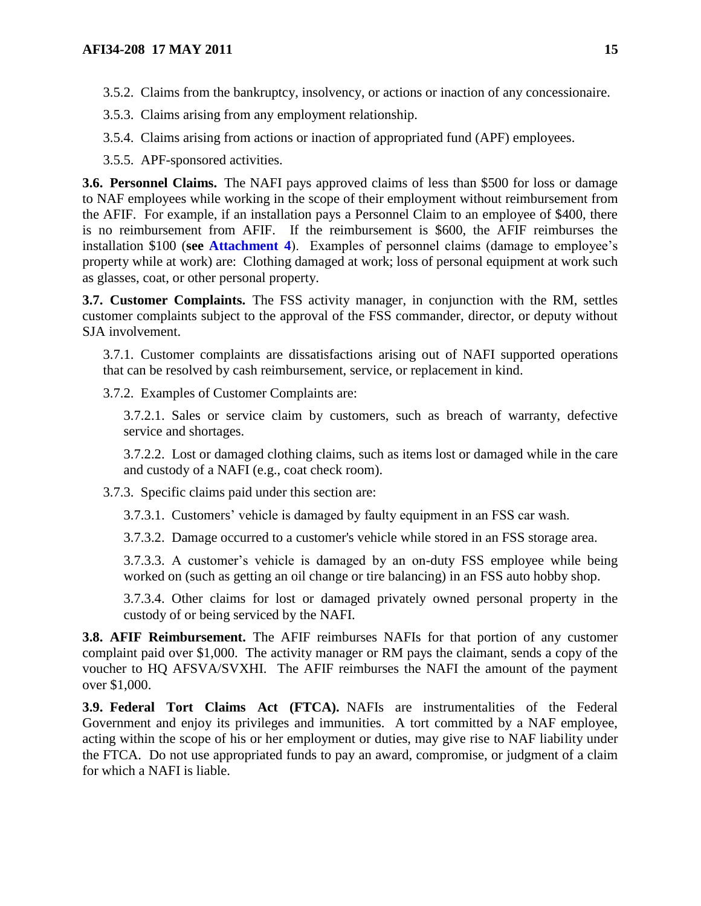3.5.3. Claims arising from any employment relationship.

3.5.4. Claims arising from actions or inaction of appropriated fund (APF) employees.

3.5.5. APF-sponsored activities.

<span id="page-14-0"></span>**3.6. Personnel Claims.** The NAFI pays approved claims of less than \$500 for loss or damage to NAF employees while working in the scope of their employment without reimbursement from the AFIF. For example, if an installation pays a Personnel Claim to an employee of \$400, there is no reimbursement from AFIF. If the reimbursement is \$600, the AFIF reimburses the installation \$100 (**see [Attachment](#page-22-0) 4**). Examples of personnel claims (damage to employee's property while at work) are: Clothing damaged at work; loss of personal equipment at work such as glasses, coat, or other personal property.

<span id="page-14-1"></span>**3.7. Customer Complaints.** The FSS activity manager, in conjunction with the RM, settles customer complaints subject to the approval of the FSS commander, director, or deputy without SJA involvement.

3.7.1. Customer complaints are dissatisfactions arising out of NAFI supported operations that can be resolved by cash reimbursement, service, or replacement in kind.

3.7.2. Examples of Customer Complaints are:

3.7.2.1. Sales or service claim by customers, such as breach of warranty, defective service and shortages.

3.7.2.2. Lost or damaged clothing claims, such as items lost or damaged while in the care and custody of a NAFI (e.g., coat check room).

3.7.3. Specific claims paid under this section are:

3.7.3.1. Customers' vehicle is damaged by faulty equipment in an FSS car wash.

3.7.3.2. Damage occurred to a customer's vehicle while stored in an FSS storage area.

3.7.3.3. A customer's vehicle is damaged by an on-duty FSS employee while being worked on (such as getting an oil change or tire balancing) in an FSS auto hobby shop.

3.7.3.4. Other claims for lost or damaged privately owned personal property in the custody of or being serviced by the NAFI.

<span id="page-14-2"></span>**3.8. AFIF Reimbursement.** The AFIF reimburses NAFIs for that portion of any customer complaint paid over \$1,000. The activity manager or RM pays the claimant, sends a copy of the voucher to HQ AFSVA/SVXHI. The AFIF reimburses the NAFI the amount of the payment over \$1,000.

<span id="page-14-3"></span>**3.9. Federal Tort Claims Act (FTCA).** NAFIs are instrumentalities of the Federal Government and enjoy its privileges and immunities. A tort committed by a NAF employee, acting within the scope of his or her employment or duties, may give rise to NAF liability under the FTCA. Do not use appropriated funds to pay an award, compromise, or judgment of a claim for which a NAFI is liable.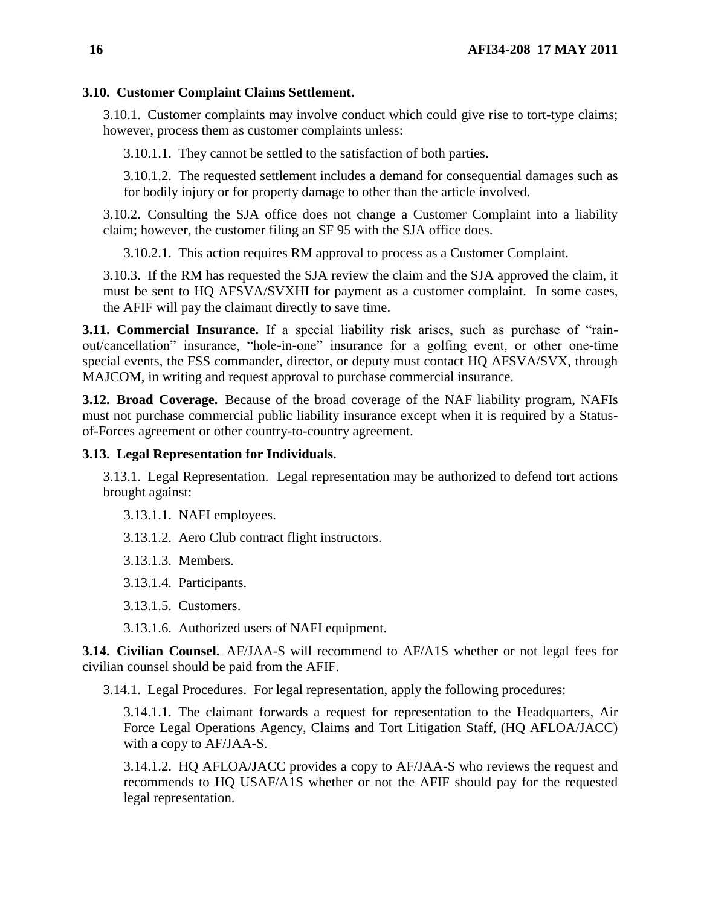## <span id="page-15-0"></span>**3.10. Customer Complaint Claims Settlement.**

3.10.1. Customer complaints may involve conduct which could give rise to tort-type claims; however, process them as customer complaints unless:

3.10.1.1. They cannot be settled to the satisfaction of both parties.

3.10.1.2. The requested settlement includes a demand for consequential damages such as for bodily injury or for property damage to other than the article involved.

3.10.2. Consulting the SJA office does not change a Customer Complaint into a liability claim; however, the customer filing an SF 95 with the SJA office does.

3.10.2.1. This action requires RM approval to process as a Customer Complaint.

3.10.3. If the RM has requested the SJA review the claim and the SJA approved the claim, it must be sent to HQ AFSVA/SVXHI for payment as a customer complaint. In some cases, the AFIF will pay the claimant directly to save time.

<span id="page-15-1"></span>**3.11. Commercial Insurance.** If a special liability risk arises, such as purchase of "rainout/cancellation" insurance, "hole-in-one" insurance for a golfing event, or other one-time special events, the FSS commander, director, or deputy must contact HQ AFSVA/SVX, through MAJCOM, in writing and request approval to purchase commercial insurance.

<span id="page-15-2"></span>**3.12. Broad Coverage.** Because of the broad coverage of the NAF liability program, NAFIs must not purchase commercial public liability insurance except when it is required by a Statusof-Forces agreement or other country-to-country agreement.

## <span id="page-15-3"></span>**3.13. Legal Representation for Individuals.**

3.13.1. Legal Representation. Legal representation may be authorized to defend tort actions brought against:

3.13.1.1. NAFI employees.

3.13.1.2. Aero Club contract flight instructors.

3.13.1.3. Members.

3.13.1.4. Participants.

3.13.1.5. Customers.

3.13.1.6. Authorized users of NAFI equipment.

<span id="page-15-4"></span>**3.14. Civilian Counsel.** AF/JAA-S will recommend to AF/A1S whether or not legal fees for civilian counsel should be paid from the AFIF.

3.14.1. Legal Procedures. For legal representation, apply the following procedures:

3.14.1.1. The claimant forwards a request for representation to the Headquarters, Air Force Legal Operations Agency, Claims and Tort Litigation Staff, (HQ AFLOA/JACC) with a copy to AF/JAA-S.

3.14.1.2. HQ AFLOA/JACC provides a copy to AF/JAA-S who reviews the request and recommends to HQ USAF/A1S whether or not the AFIF should pay for the requested legal representation.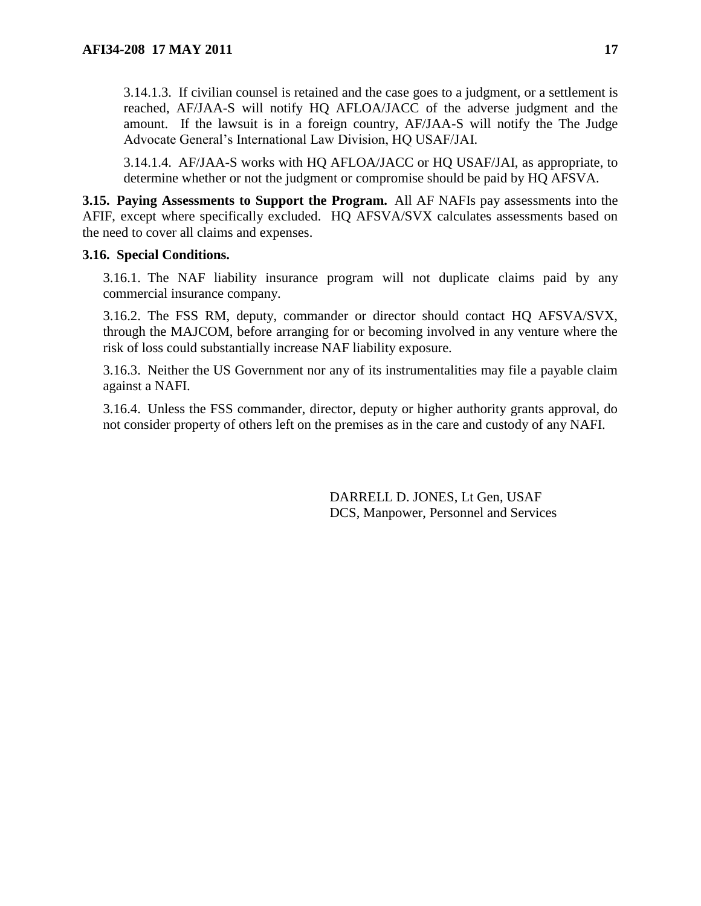3.14.1.3. If civilian counsel is retained and the case goes to a judgment, or a settlement is reached, AF/JAA-S will notify HQ AFLOA/JACC of the adverse judgment and the amount. If the lawsuit is in a foreign country, AF/JAA-S will notify the The Judge Advocate General's International Law Division, HQ USAF/JAI.

3.14.1.4. AF/JAA-S works with HQ AFLOA/JACC or HQ USAF/JAI, as appropriate, to determine whether or not the judgment or compromise should be paid by HQ AFSVA.

<span id="page-16-0"></span>**3.15. Paying Assessments to Support the Program.** All AF NAFIs pay assessments into the AFIF, except where specifically excluded. HQ AFSVA/SVX calculates assessments based on the need to cover all claims and expenses.

### <span id="page-16-1"></span>**3.16. Special Conditions.**

3.16.1. The NAF liability insurance program will not duplicate claims paid by any commercial insurance company.

3.16.2. The FSS RM, deputy, commander or director should contact HQ AFSVA/SVX, through the MAJCOM, before arranging for or becoming involved in any venture where the risk of loss could substantially increase NAF liability exposure.

3.16.3. Neither the US Government nor any of its instrumentalities may file a payable claim against a NAFI.

3.16.4. Unless the FSS commander, director, deputy or higher authority grants approval, do not consider property of others left on the premises as in the care and custody of any NAFI.

> DARRELL D. JONES, Lt Gen, USAF DCS, Manpower, Personnel and Services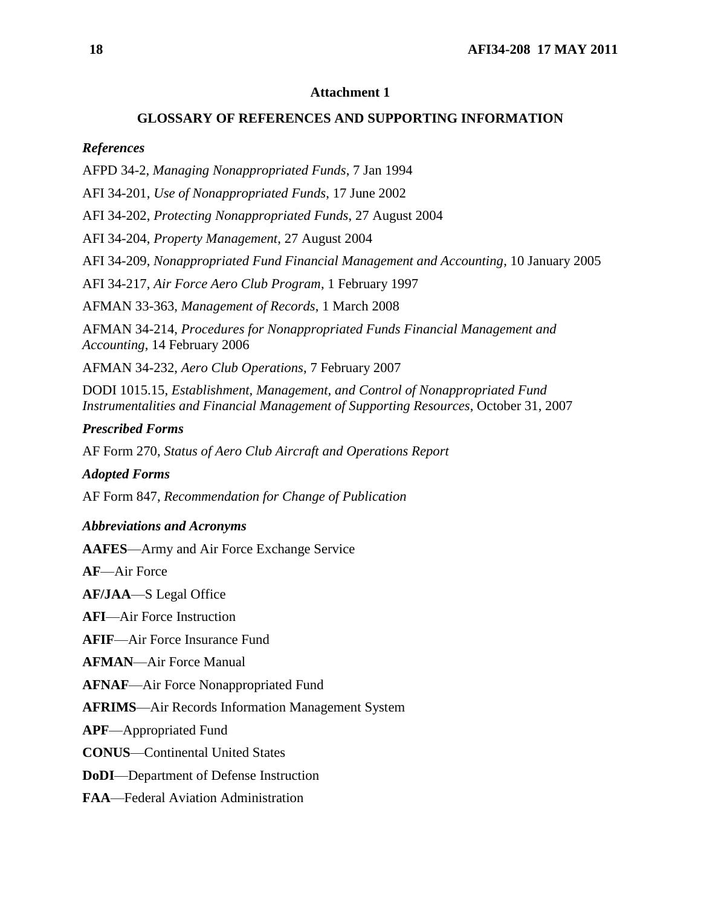### <span id="page-17-0"></span>**GLOSSARY OF REFERENCES AND SUPPORTING INFORMATION**

#### *References*

AFPD 34-2, *Managing Nonappropriated Funds*, 7 Jan 1994

AFI 34-201, *Use of Nonappropriated Funds*, 17 June 2002

AFI 34-202, *Protecting Nonappropriated Funds*, 27 August 2004

AFI 34-204, *Property Management*, 27 August 2004

AFI 34-209, *Nonappropriated Fund Financial Management and Accounting*, 10 January 2005

AFI 34-217, *Air Force Aero Club Program*, 1 February 1997

AFMAN 33-363, *Management of Records*, 1 March 2008

AFMAN 34-214, *Procedures for Nonappropriated Funds Financial Management and Accounting*, 14 February 2006

AFMAN 34-232, *Aero Club Operations*, 7 February 2007

DODI 1015.15, *Establishment, Management, and Control of Nonappropriated Fund Instrumentalities and Financial Management of Supporting Resources*, October 31, 2007

### *Prescribed Forms*

AF Form 270, *Status of Aero Club Aircraft and Operations Report*

#### *Adopted Forms*

AF Form 847, *Recommendation for Change of Publication*

#### *Abbreviations and Acronyms*

**AAFES**—Army and Air Force Exchange Service

**AF**—Air Force

**AF/JAA**—S Legal Office

**AFI**—Air Force Instruction

**AFIF**—Air Force Insurance Fund

**AFMAN**—Air Force Manual

**AFNAF**—Air Force Nonappropriated Fund

**AFRIMS**—Air Records Information Management System

**APF**—Appropriated Fund

**CONUS**—Continental United States

**DoDI**—Department of Defense Instruction

**FAA**—Federal Aviation Administration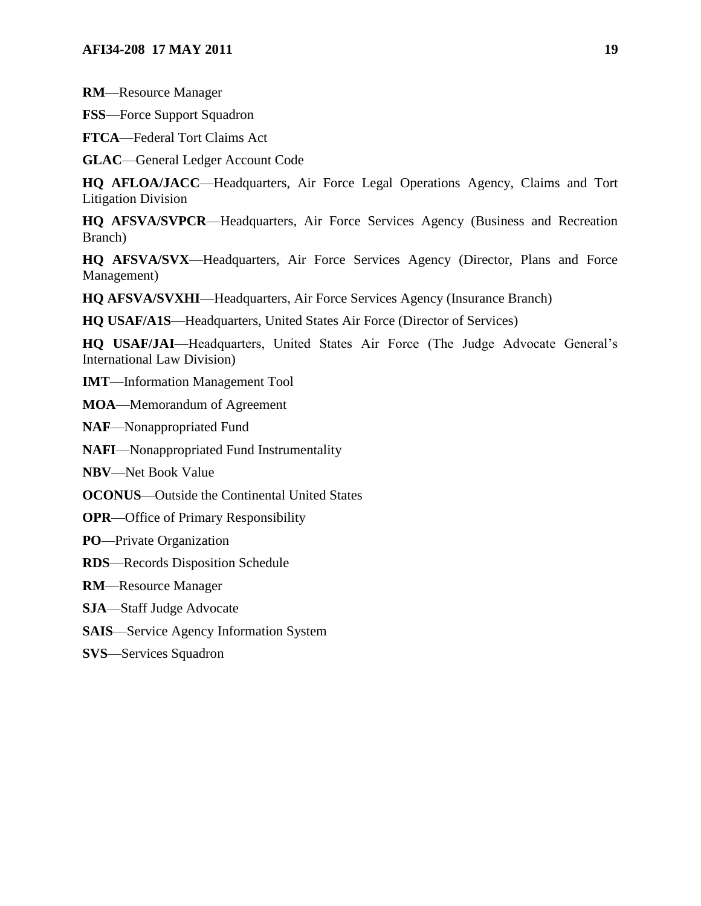**RM**—Resource Manager

**FSS**—Force Support Squadron

**FTCA**—Federal Tort Claims Act

**GLAC**—General Ledger Account Code

**HQ AFLOA/JACC**—Headquarters, Air Force Legal Operations Agency, Claims and Tort Litigation Division

**HQ AFSVA/SVPCR**—Headquarters, Air Force Services Agency (Business and Recreation Branch)

**HQ AFSVA/SVX**—Headquarters, Air Force Services Agency (Director, Plans and Force Management)

**HQ AFSVA/SVXHI**—Headquarters, Air Force Services Agency (Insurance Branch)

**HQ USAF/A1S**—Headquarters, United States Air Force (Director of Services)

**HQ USAF/JAI**—Headquarters, United States Air Force (The Judge Advocate General's International Law Division)

**IMT**—Information Management Tool

**MOA**—Memorandum of Agreement

**NAF**—Nonappropriated Fund

**NAFI**—Nonappropriated Fund Instrumentality

**NBV**—Net Book Value

**OCONUS**—Outside the Continental United States

**OPR**—Office of Primary Responsibility

**PO**—Private Organization

**RDS**—Records Disposition Schedule

**RM**—Resource Manager

**SJA**—Staff Judge Advocate

**SAIS**—Service Agency Information System

**SVS**—Services Squadron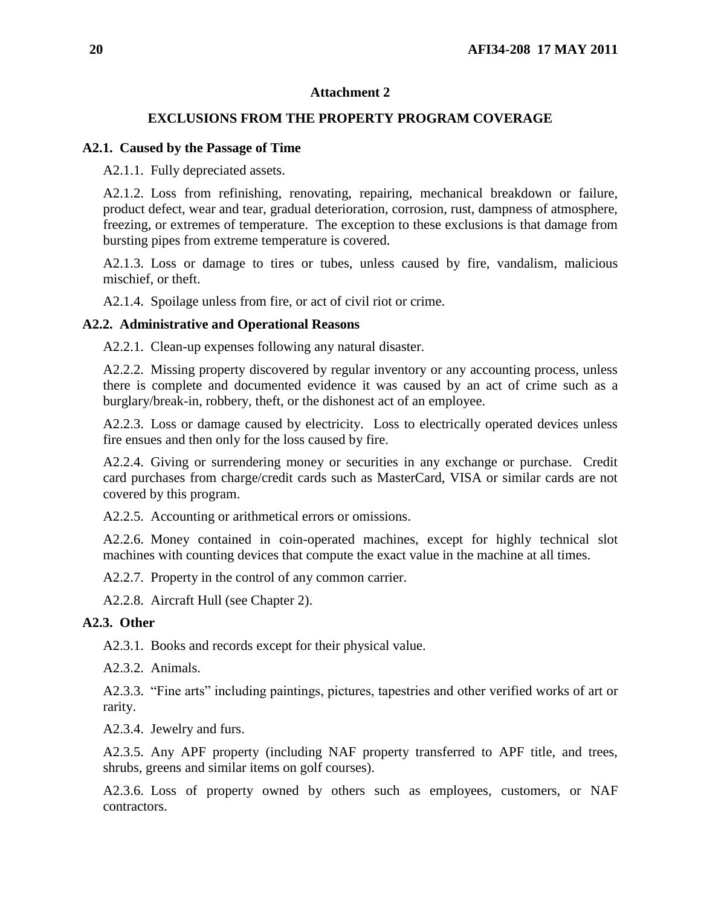### <span id="page-19-0"></span>**EXCLUSIONS FROM THE PROPERTY PROGRAM COVERAGE**

### **A2.1. Caused by the Passage of Time**

A2.1.1. Fully depreciated assets.

A2.1.2. Loss from refinishing, renovating, repairing, mechanical breakdown or failure, product defect, wear and tear, gradual deterioration, corrosion, rust, dampness of atmosphere, freezing, or extremes of temperature. The exception to these exclusions is that damage from bursting pipes from extreme temperature is covered.

A2.1.3. Loss or damage to tires or tubes, unless caused by fire, vandalism, malicious mischief, or theft.

A2.1.4. Spoilage unless from fire, or act of civil riot or crime.

### **A2.2. Administrative and Operational Reasons**

A2.2.1. Clean-up expenses following any natural disaster.

A2.2.2. Missing property discovered by regular inventory or any accounting process, unless there is complete and documented evidence it was caused by an act of crime such as a burglary/break-in, robbery, theft, or the dishonest act of an employee.

A2.2.3. Loss or damage caused by electricity. Loss to electrically operated devices unless fire ensues and then only for the loss caused by fire.

A2.2.4. Giving or surrendering money or securities in any exchange or purchase. Credit card purchases from charge/credit cards such as MasterCard, VISA or similar cards are not covered by this program.

A2.2.5. Accounting or arithmetical errors or omissions.

A2.2.6. Money contained in coin-operated machines, except for highly technical slot machines with counting devices that compute the exact value in the machine at all times.

A2.2.7. Property in the control of any common carrier.

A2.2.8. Aircraft Hull (see Chapter 2).

## **A2.3. Other**

A2.3.1. Books and records except for their physical value.

A2.3.2. Animals.

A2.3.3. "Fine arts" including paintings, pictures, tapestries and other verified works of art or rarity.

A2.3.4. Jewelry and furs.

A2.3.5. Any APF property (including NAF property transferred to APF title, and trees, shrubs, greens and similar items on golf courses).

A2.3.6. Loss of property owned by others such as employees, customers, or NAF contractors.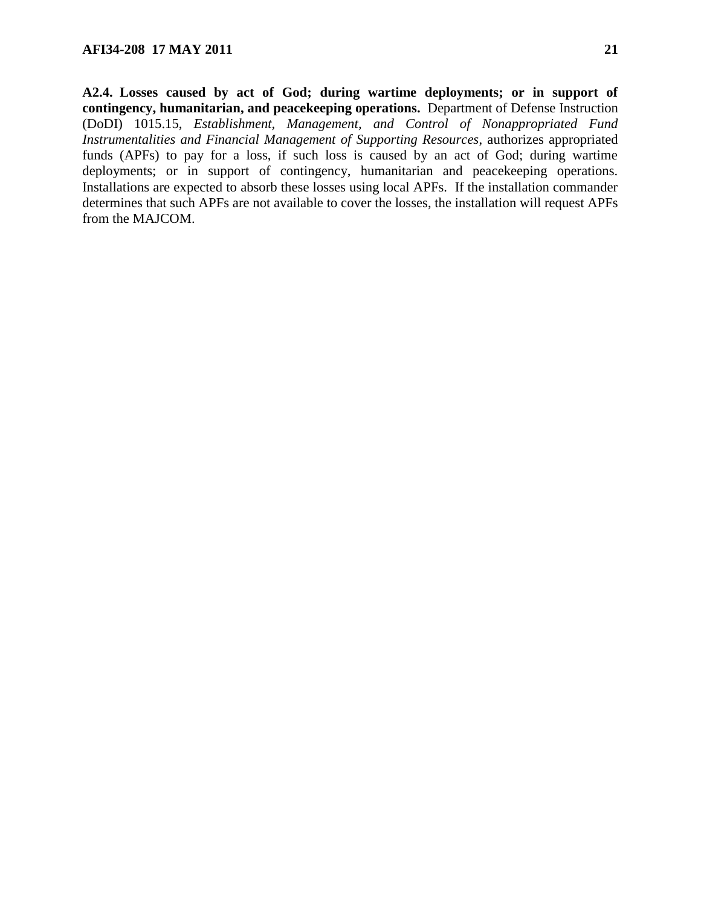**A2.4. Losses caused by act of God; during wartime deployments; or in support of contingency, humanitarian, and peacekeeping operations.** Department of Defense Instruction (DoDI) 1015.15, *Establishment, Management, and Control of Nonappropriated Fund Instrumentalities and Financial Management of Supporting Resources*, authorizes appropriated funds (APFs) to pay for a loss, if such loss is caused by an act of God; during wartime deployments; or in support of contingency, humanitarian and peacekeeping operations. Installations are expected to absorb these losses using local APFs. If the installation commander determines that such APFs are not available to cover the losses, the installation will request APFs from the MAJCOM.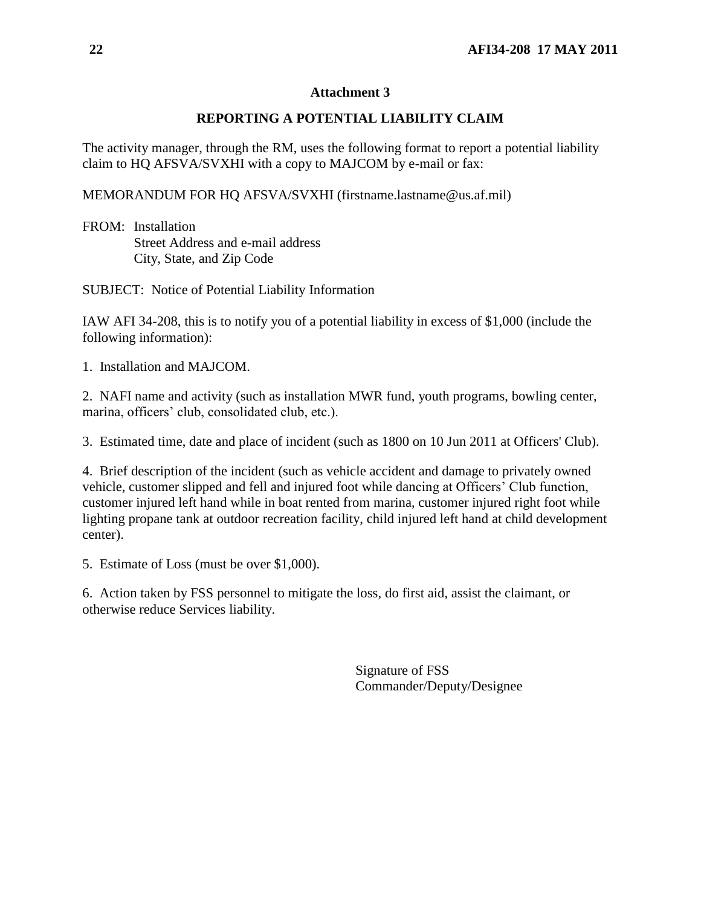# <span id="page-21-0"></span>**REPORTING A POTENTIAL LIABILITY CLAIM**

The activity manager, through the RM, uses the following format to report a potential liability claim to HQ AFSVA/SVXHI with a copy to MAJCOM by e-mail or fax:

MEMORANDUM FOR HQ AFSVA/SVXHI (firstname.lastname@us.af.mil)

FROM: Installation Street Address and e-mail address City, State, and Zip Code

SUBJECT: Notice of Potential Liability Information

IAW AFI 34-208, this is to notify you of a potential liability in excess of \$1,000 (include the following information):

1. Installation and MAJCOM.

2. NAFI name and activity (such as installation MWR fund, youth programs, bowling center, marina, officers' club, consolidated club, etc.).

3. Estimated time, date and place of incident (such as 1800 on 10 Jun 2011 at Officers' Club).

4. Brief description of the incident (such as vehicle accident and damage to privately owned vehicle, customer slipped and fell and injured foot while dancing at Officers' Club function, customer injured left hand while in boat rented from marina, customer injured right foot while lighting propane tank at outdoor recreation facility, child injured left hand at child development center).

5. Estimate of Loss (must be over \$1,000).

6. Action taken by FSS personnel to mitigate the loss, do first aid, assist the claimant, or otherwise reduce Services liability.

> Signature of FSS Commander/Deputy/Designee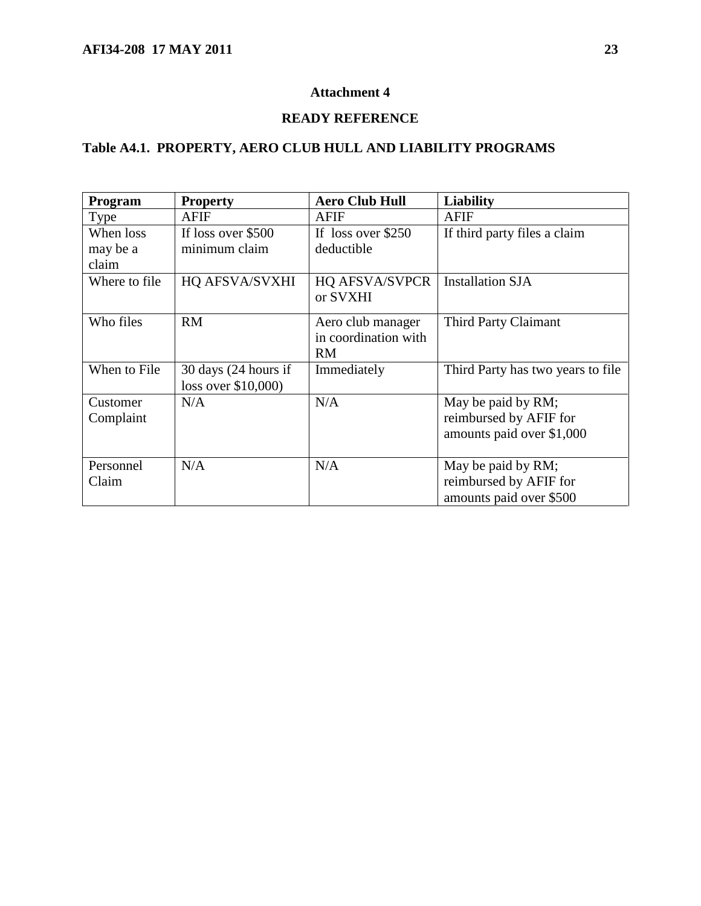# <span id="page-22-0"></span>**READY REFERENCE**

# **Table A4.1. PROPERTY, AERO CLUB HULL AND LIABILITY PROGRAMS**

| Program               | <b>Property</b>                                       | <b>Aero Club Hull</b>                                  | <b>Liability</b>                                                          |
|-----------------------|-------------------------------------------------------|--------------------------------------------------------|---------------------------------------------------------------------------|
| Type                  | AFIF                                                  | AFIF                                                   | <b>AFIF</b>                                                               |
| When loss             | If loss over \$500                                    | If loss over \$250                                     | If third party files a claim                                              |
| may be a              | minimum claim                                         | deductible                                             |                                                                           |
| claim                 |                                                       |                                                        |                                                                           |
| Where to file         | HQ AFSVA/SVXHI                                        | <b>HQ AFSVA/SVPCR</b><br>or SVXHI                      | <b>Installation SJA</b>                                                   |
| Who files             | <b>RM</b>                                             | Aero club manager<br>in coordination with<br><b>RM</b> | Third Party Claimant                                                      |
| When to File          | $30 \text{ days}$ (24 hours if<br>loss over \$10,000) | Immediately                                            | Third Party has two years to file                                         |
| Customer<br>Complaint | N/A                                                   | N/A                                                    | May be paid by RM;<br>reimbursed by AFIF for<br>amounts paid over \$1,000 |
| Personnel<br>Claim    | N/A                                                   | N/A                                                    | May be paid by RM;<br>reimbursed by AFIF for<br>amounts paid over \$500   |